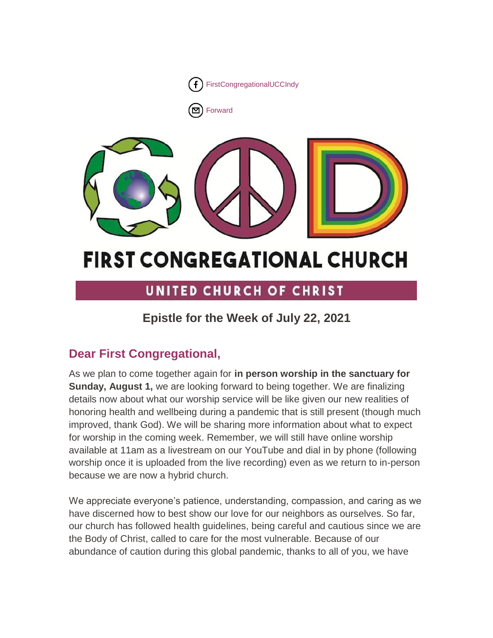

[Forward](http://us16.forward-to-friend.com/forward?u=7a2e4c501545b6d78729a64a1&id=13e70930a1&e=%5bUNIQID%5d)



# **FIRST CONGREGATIONAL CHURCH**

## UNITED CHURCH OF CHRIST

### **Epistle for the Week of July 22, 2021**

### **Dear First Congregational,**

As we plan to come together again for **in person worship in the sanctuary for Sunday, August 1,** we are looking forward to being together. We are finalizing details now about what our worship service will be like given our new realities of honoring health and wellbeing during a pandemic that is still present (though much improved, thank God). We will be sharing more information about what to expect for worship in the coming week. Remember, we will still have online worship available at 11am as a livestream on our YouTube and dial in by phone (following worship once it is uploaded from the live recording) even as we return to in-person because we are now a hybrid church.

We appreciate everyone's patience, understanding, compassion, and caring as we have discerned how to best show our love for our neighbors as ourselves. So far, our church has followed health guidelines, being careful and cautious since we are the Body of Christ, called to care for the most vulnerable. Because of our abundance of caution during this global pandemic, thanks to all of you, we have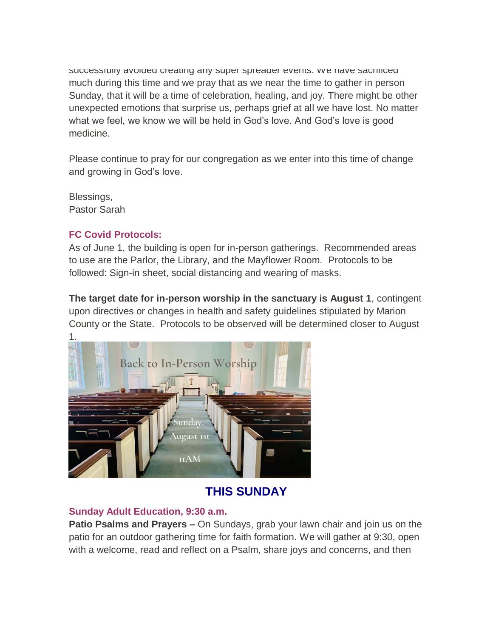successiully avoided creating any super spreader events. We have sacrificed much during this time and we pray that as we near the time to gather in person Sunday, that it will be a time of celebration, healing, and joy. There might be other unexpected emotions that surprise us, perhaps grief at all we have lost. No matter what we feel, we know we will be held in God's love. And God's love is good medicine.

Please continue to pray for our congregation as we enter into this time of change and growing in God's love.

Blessings, Pastor Sarah

### **FC Covid Protocols:**

As of June 1, the building is open for in-person gatherings. Recommended areas to use are the Parlor, the Library, and the Mayflower Room. Protocols to be followed: Sign-in sheet, social distancing and wearing of masks.

**The target date for in-person worship in the sanctuary is August 1**, contingent upon directives or changes in health and safety guidelines stipulated by Marion County or the State. Protocols to be observed will be determined closer to August



### **THIS SUNDAY**

### **Sunday Adult Education, 9:30 a.m.**

**Patio Psalms and Prayers –** On Sundays, grab your lawn chair and join us on the patio for an outdoor gathering time for faith formation. We will gather at 9:30, open with a welcome, read and reflect on a Psalm, share joys and concerns, and then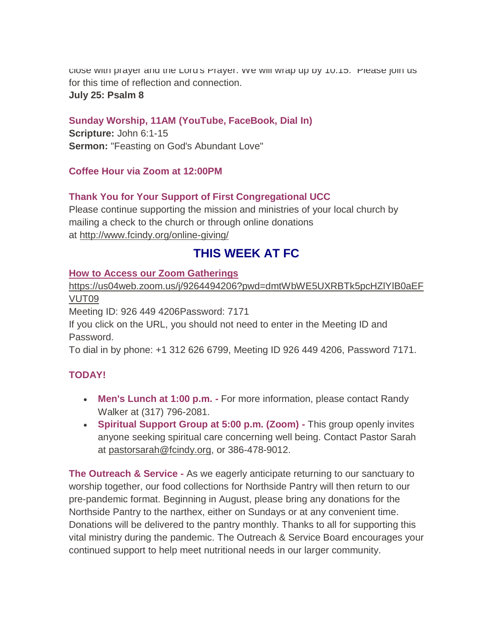close with prayer and the Lord's Prayer. We will wrap up by 10:15. Please join us for this time of reflection and connection. **July 25: Psalm 8**

### **Sunday Worship, 11AM (YouTube, FaceBook, Dial In)**

**Scripture:** John 6:1-15 **Sermon:** "Feasting on God's Abundant Love"

#### **Coffee Hour via Zoom at 12:00PM**

### **Thank You for Your Support of First Congregational UCC**

Please continue supporting the mission and ministries of your local church by mailing a check to the church or through online donations at <http://www.fcindy.org/online-giving/>

### **THIS WEEK AT FC**

#### **How to Access our Zoom Gatherings**

[https://us04web.zoom.us/j/9264494206?pwd=dmtWbWE5UXRBTk5pcHZlYlB0aEF](https://us04web.zoom.us/j/9264494206?pwd=dmtWbWE5UXRBTk5pcHZlYlB0aEFVUT09) [VUT09](https://us04web.zoom.us/j/9264494206?pwd=dmtWbWE5UXRBTk5pcHZlYlB0aEFVUT09)

Meeting ID: 926 449 4206Password: 7171

If you click on the URL, you should not need to enter in the Meeting ID and Password.

To dial in by phone: +1 312 626 6799, Meeting ID 926 449 4206, Password 7171.

### **TODAY!**

- **Men's Lunch at 1:00 p.m. -** For more information, please contact Randy Walker at (317) 796-2081.
- **Spiritual Support Group at 5:00 p.m. (Zoom) -** This group openly invites anyone seeking spiritual care concerning well being. Contact Pastor Sarah at [pastorsarah@fcindy.org,](mailto:pastorsarah@fcindy.org) or 386-478-9012.

**The Outreach & Service -** As we eagerly anticipate returning to our sanctuary to worship together, our food collections for Northside Pantry will then return to our pre-pandemic format. Beginning in August, please bring any donations for the Northside Pantry to the narthex, either on Sundays or at any convenient time. Donations will be delivered to the pantry monthly. Thanks to all for supporting this vital ministry during the pandemic. The Outreach & Service Board encourages your continued support to help meet nutritional needs in our larger community.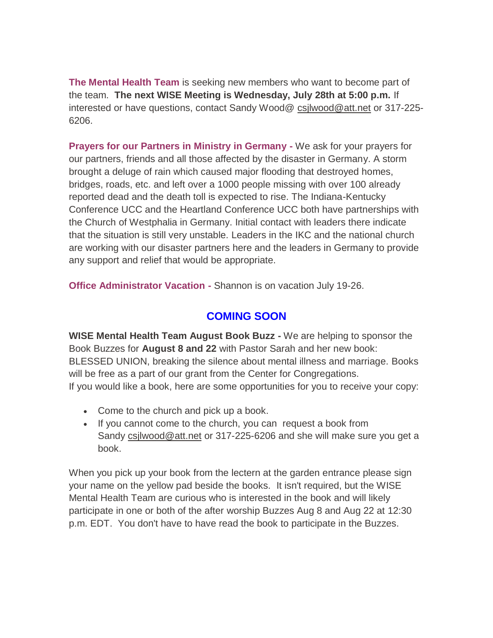**The Mental Health Team** is seeking new members who want to become part of the team. **The next WISE Meeting is Wednesday, July 28th at 5:00 p.m.** If interested or have questions, contact Sandy Wood@ [csjlwood@att.net](mailto:csjlwood@att.net) or 317-225- 6206.

**Prayers for our Partners in Ministry in Germany -** We ask for your prayers for our partners, friends and all those affected by the disaster in Germany. A storm brought a deluge of rain which caused major flooding that destroyed homes, bridges, roads, etc. and left over a 1000 people missing with over 100 already reported dead and the death toll is expected to rise. The Indiana-Kentucky Conference UCC and the Heartland Conference UCC both have partnerships with the Church of Westphalia in Germany. Initial contact with leaders there indicate that the situation is still very unstable. Leaders in the IKC and the national church are working with our disaster partners here and the leaders in Germany to provide any support and relief that would be appropriate.

**Office Administrator Vacation -** Shannon is on vacation July 19-26.

### **COMING SOON**

**WISE Mental Health Team August Book Buzz -** We are helping to sponsor the Book Buzzes for **August 8 and 22** with Pastor Sarah and her new book: BLESSED UNION, breaking the silence about mental illness and marriage. Books will be free as a part of our grant from the Center for Congregations. If you would like a book, here are some opportunities for you to receive your copy:

- Come to the church and pick up a book.
- If you cannot come to the church, you can request a book from Sandy [csjlwood@att.net](mailto:csjlwood@att.net) or 317-225-6206 and she will make sure you get a book.

When you pick up your book from the lectern at the garden entrance please sign your name on the yellow pad beside the books. It isn't required, but the WISE Mental Health Team are curious who is interested in the book and will likely participate in one or both of the after worship Buzzes Aug 8 and Aug 22 at 12:30 p.m. EDT. You don't have to have read the book to participate in the Buzzes.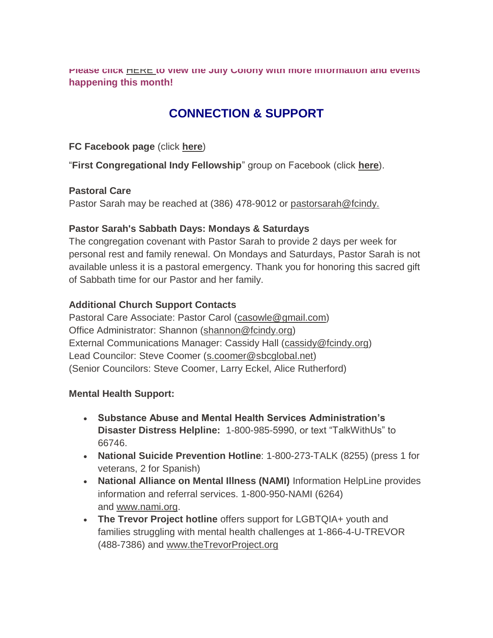**Please click** [HERE](https://mcusercontent.com/7a2e4c501545b6d78729a64a1/files/d48f69d7-e688-a3ac-b0c2-00c4dfd79cda/June_Colony_2021.01.pdf) **[t](https://mcusercontent.com/7a2e4c501545b6d78729a64a1/files/d48f69d7-e688-a3ac-b0c2-00c4dfd79cda/June_Colony_2021.01.pdf)o view the July Colony with more information and events happening this month!**

### **CONNECTION & SUPPORT**

**FC Facebook page** (click **[here](https://www.facebook.com/FirstCongregationalUCCIndy/)**)

"**First Congregational Indy Fellowship**" group on Facebook (click **[here](https://www.facebook.com/groups/521333455186422/)**).

### **Pastoral Care**

Pastor Sarah may be reached at (386) 478-9012 or [pastorsarah@fcindy.](mailto:pastorsarah@fcindy.org)

### **Pastor Sarah's Sabbath Days: Mondays & Saturdays**

The congregation covenant with Pastor Sarah to provide 2 days per week for personal rest and family renewal. On Mondays and Saturdays, Pastor Sarah is not available unless it is a pastoral emergency. Thank you for honoring this sacred gift of Sabbath time for our Pastor and her family.

### **Additional Church Support Contacts**

Pastoral Care Associate: Pastor Carol [\(casowle@gmail.com\)](mailto:casowle@gmail.com) Office Administrator: Shannon [\(shannon@fcindy.org\)](mailto:shannon@fcindy.org) External Communications Manager: Cassidy Hall [\(cassidy@fcindy.org\)](mailto:cassidy@fcindy.org) Lead Councilor: Steve Coomer [\(s.coomer@sbcglobal.net\)](mailto:s.coomer@sbcglobal.net) (Senior Councilors: Steve Coomer, Larry Eckel, Alice Rutherford)

### **Mental Health Support:**

- **Substance Abuse and Mental Health Services Administration's Disaster Distress Helpline:** 1-800-985-5990, or text "TalkWithUs" to 66746.
- **National Suicide Prevention Hotline**: 1-800-273-TALK (8255) (press 1 for veterans, 2 for Spanish)
- **National Alliance on Mental Illness (NAMI)** Information HelpLine provides information and referral services. 1-800-950-NAMI (6264) and [www.nami.org.](http://www.nami.org/)
- **The Trevor Project hotline** offers support for LGBTQIA+ youth and families struggling with mental health challenges at 1-866-4-U-TREVOR (488-7386) and [www.theTrevorProject.org](http://www.thetrevorproject.org/)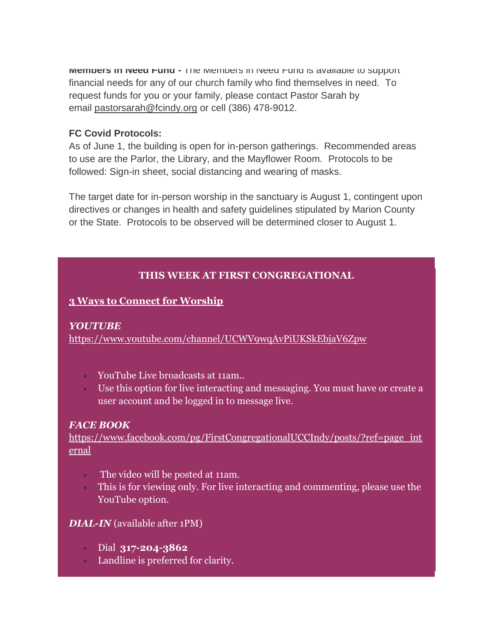**Members in Need Fund -** The Members in Need Fund is available to support financial needs for any of our church family who find themselves in need. To request funds for you or your family, please contact Pastor Sarah by email [pastorsarah@fcindy.org](mailto:pastorsarah@fcindy.org) or cell (386) 478-9012.

#### **FC Covid Protocols:**

As of June 1, the building is open for in-person gatherings. Recommended areas to use are the Parlor, the Library, and the Mayflower Room. Protocols to be followed: Sign-in sheet, social distancing and wearing of masks.

The target date for in-person worship in the sanctuary is August 1, contingent upon directives or changes in health and safety guidelines stipulated by Marion County or the State. Protocols to be observed will be determined closer to August 1.

### **THIS WEEK AT FIRST CONGREGATIONAL**

### **3 Ways to Connect for Worship**

### *YOUTUBE*

<https://www.youtube.com/channel/UCWV9wqAvPiUKSkEbjaV6Zpw>

- YouTube Live broadcasts at 11am..
- Use this option for live interacting and messaging. You must have or create a user account and be logged in to message live.

### *FACE BOOK*

[https://www.facebook.com/pg/FirstCongregationalUCCIndy/posts/?ref=page\\_int](https://www.facebook.com/pg/FirstCongregationalUCCIndy/posts/?ref=page_internal) [ernal](https://www.facebook.com/pg/FirstCongregationalUCCIndy/posts/?ref=page_internal)

- The video will be posted at 11am.
- This is for viewing only. For live interacting and commenting, please use the YouTube option.

### *DIAL-IN* (available after 1PM)

- Dial **317-204-3862**
- Landline is preferred for clarity.